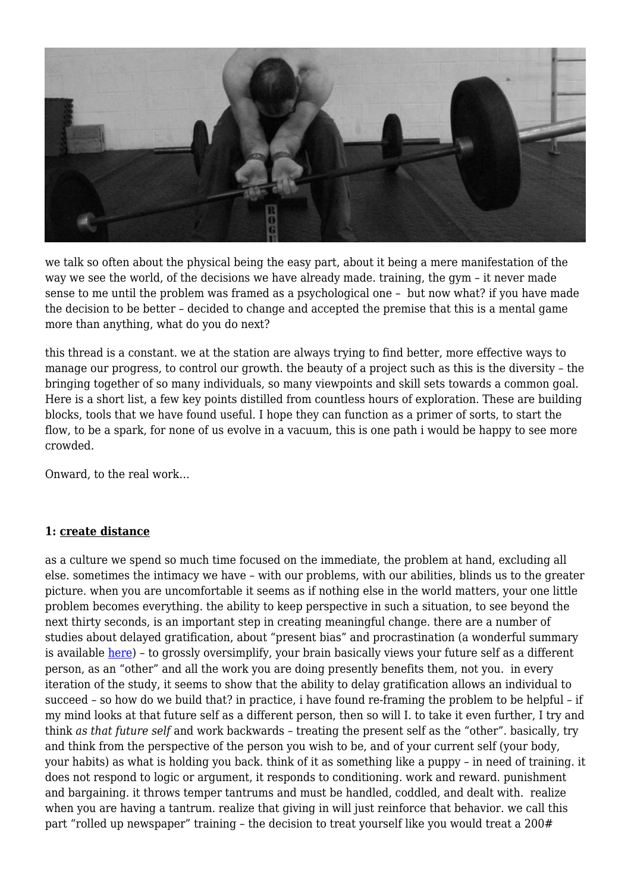

we talk so often about the physical being the easy part, about it being a mere manifestation of the way we see the world, of the decisions we have already made. training, the gym – it never made sense to me until the problem was framed as a psychological one – but now what? if you have made the decision to be better – decided to change and accepted the premise that this is a mental game more than anything, what do you do next?

this thread is a constant. we at the station are always trying to find better, more effective ways to manage our progress, to control our growth. the beauty of a project such as this is the diversity – the bringing together of so many individuals, so many viewpoints and skill sets towards a common goal. Here is a short list, a few key points distilled from countless hours of exploration. These are building blocks, tools that we have found useful. I hope they can function as a primer of sorts, to start the flow, to be a spark, for none of us evolve in a vacuum, this is one path i would be happy to see more crowded.

Onward, to the real work…

### **1: create distance**

as a culture we spend so much time focused on the immediate, the problem at hand, excluding all else. sometimes the intimacy we have – with our problems, with our abilities, blinds us to the greater picture. when you are uncomfortable it seems as if nothing else in the world matters, your one little problem becomes everything. the ability to keep perspective in such a situation, to see beyond the next thirty seconds, is an important step in creating meaningful change. there are a number of studies about delayed gratification, about "present bias" and procrastination (a wonderful summary is available [here\)](http://youarenotsosmart.com/2010/10/27/procrastination/) - to grossly oversimplify, your brain basically views your future self as a different person, as an "other" and all the work you are doing presently benefits them, not you. in every iteration of the study, it seems to show that the ability to delay gratification allows an individual to succeed – so how do we build that? in practice, i have found re-framing the problem to be helpful – if my mind looks at that future self as a different person, then so will I. to take it even further, I try and think *as that future self* and work backwards – treating the present self as the "other". basically, try and think from the perspective of the person you wish to be, and of your current self (your body, your habits) as what is holding you back. think of it as something like a puppy – in need of training. it does not respond to logic or argument, it responds to conditioning. work and reward. punishment and bargaining. it throws temper tantrums and must be handled, coddled, and dealt with. realize when you are having a tantrum. realize that giving in will just reinforce that behavior. we call this part "rolled up newspaper" training - the decision to treat yourself like you would treat a 200#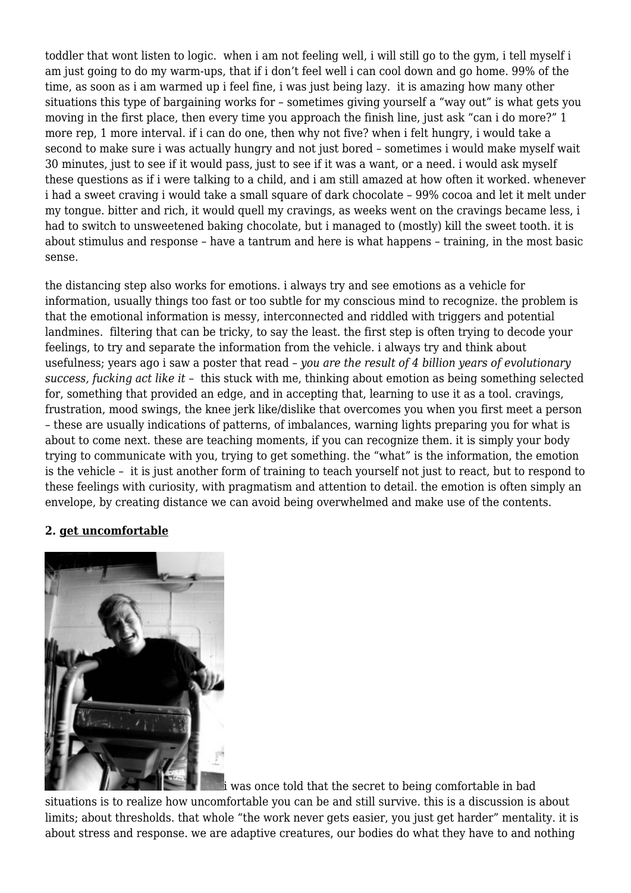toddler that wont listen to logic. when i am not feeling well, i will still go to the gym, i tell myself i am just going to do my warm-ups, that if i don't feel well i can cool down and go home. 99% of the time, as soon as i am warmed up i feel fine, i was just being lazy. it is amazing how many other situations this type of bargaining works for – sometimes giving yourself a "way out" is what gets you moving in the first place, then every time you approach the finish line, just ask "can i do more?" 1 more rep, 1 more interval. if i can do one, then why not five? when i felt hungry, i would take a second to make sure i was actually hungry and not just bored – sometimes i would make myself wait 30 minutes, just to see if it would pass, just to see if it was a want, or a need. i would ask myself these questions as if i were talking to a child, and i am still amazed at how often it worked. whenever i had a sweet craving i would take a small square of dark chocolate – 99% cocoa and let it melt under my tongue. bitter and rich, it would quell my cravings, as weeks went on the cravings became less, i had to switch to unsweetened baking chocolate, but i managed to (mostly) kill the sweet tooth. it is about stimulus and response – have a tantrum and here is what happens – training, in the most basic sense.

the distancing step also works for emotions. i always try and see emotions as a vehicle for information, usually things too fast or too subtle for my conscious mind to recognize. the problem is that the emotional information is messy, interconnected and riddled with triggers and potential landmines. filtering that can be tricky, to say the least. the first step is often trying to decode your feelings, to try and separate the information from the vehicle. i always try and think about usefulness; years ago i saw a poster that read – *you are the result of 4 billion years of evolutionary success, fucking act like it* – this stuck with me, thinking about emotion as being something selected for, something that provided an edge, and in accepting that, learning to use it as a tool. cravings, frustration, mood swings, the knee jerk like/dislike that overcomes you when you first meet a person – these are usually indications of patterns, of imbalances, warning lights preparing you for what is about to come next. these are teaching moments, if you can recognize them. it is simply your body trying to communicate with you, trying to get something. the "what" is the information, the emotion is the vehicle – it is just another form of training to teach yourself not just to react, but to respond to these feelings with curiosity, with pragmatism and attention to detail. the emotion is often simply an envelope, by creating distance we can avoid being overwhelmed and make use of the contents.

### **2. get uncomfortable**



i was once told that the secret to being comfortable in bad

situations is to realize how uncomfortable you can be and still survive. this is a discussion is about limits; about thresholds. that whole "the work never gets easier, you just get harder" mentality. it is about stress and response. we are adaptive creatures, our bodies do what they have to and nothing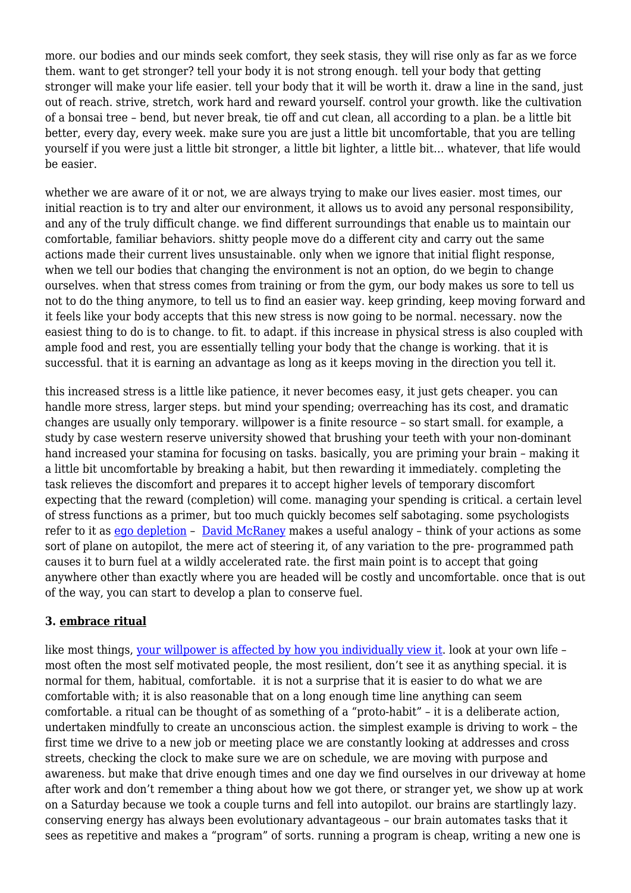more. our bodies and our minds seek comfort, they seek stasis, they will rise only as far as we force them. want to get stronger? tell your body it is not strong enough. tell your body that getting stronger will make your life easier. tell your body that it will be worth it. draw a line in the sand, just out of reach. strive, stretch, work hard and reward yourself. control your growth. like the cultivation of a bonsai tree – bend, but never break, tie off and cut clean, all according to a plan. be a little bit better, every day, every week. make sure you are just a little bit uncomfortable, that you are telling yourself if you were just a little bit stronger, a little bit lighter, a little bit… whatever, that life would be easier.

whether we are aware of it or not, we are always trying to make our lives easier. most times, our initial reaction is to try and alter our environment, it allows us to avoid any personal responsibility, and any of the truly difficult change. we find different surroundings that enable us to maintain our comfortable, familiar behaviors. shitty people move do a different city and carry out the same actions made their current lives unsustainable. only when we ignore that initial flight response, when we tell our bodies that changing the environment is not an option, do we begin to change ourselves. when that stress comes from training or from the gym, our body makes us sore to tell us not to do the thing anymore, to tell us to find an easier way. keep grinding, keep moving forward and it feels like your body accepts that this new stress is now going to be normal. necessary. now the easiest thing to do is to change. to fit. to adapt. if this increase in physical stress is also coupled with ample food and rest, you are essentially telling your body that the change is working. that it is successful. that it is earning an advantage as long as it keeps moving in the direction you tell it.

this increased stress is a little like patience, it never becomes easy, it just gets cheaper. you can handle more stress, larger steps. but mind your spending; overreaching has its cost, and dramatic changes are usually only temporary. willpower is a finite resource – so start small. for example, a study by case western reserve university showed that brushing your teeth with your non-dominant hand increased your stamina for focusing on tasks. basically, you are priming your brain – making it a little bit uncomfortable by breaking a habit, but then rewarding it immediately. completing the task relieves the discomfort and prepares it to accept higher levels of temporary discomfort expecting that the reward (completion) will come. managing your spending is critical. a certain level of stress functions as a primer, but too much quickly becomes self sabotaging. some psychologists refer to it as [ego depletion](http://en.wikipedia.org/wiki/Ego_depletion) – [David McRaney](http://youarenotsosmart.com/2012/04/17/ego-depletion/) makes a useful analogy – think of your actions as some sort of plane on autopilot, the mere act of steering it, of any variation to the pre- programmed path causes it to burn fuel at a wildly accelerated rate. the first main point is to accept that going anywhere other than exactly where you are headed will be costly and uncomfortable. once that is out of the way, you can start to develop a plan to conserve fuel.

### **3. embrace ritual**

like most things, [your willpower is affected by how you individually view it.](http://www.nytimes.com/2011/11/27/opinion/sunday/willpower-its-in-your-head.html?_r=0) look at your own life most often the most self motivated people, the most resilient, don't see it as anything special. it is normal for them, habitual, comfortable. it is not a surprise that it is easier to do what we are comfortable with; it is also reasonable that on a long enough time line anything can seem comfortable. a ritual can be thought of as something of a "proto-habit" – it is a deliberate action, undertaken mindfully to create an unconscious action. the simplest example is driving to work – the first time we drive to a new job or meeting place we are constantly looking at addresses and cross streets, checking the clock to make sure we are on schedule, we are moving with purpose and awareness. but make that drive enough times and one day we find ourselves in our driveway at home after work and don't remember a thing about how we got there, or stranger yet, we show up at work on a Saturday because we took a couple turns and fell into autopilot. our brains are startlingly lazy. conserving energy has always been evolutionary advantageous – our brain automates tasks that it sees as repetitive and makes a "program" of sorts. running a program is cheap, writing a new one is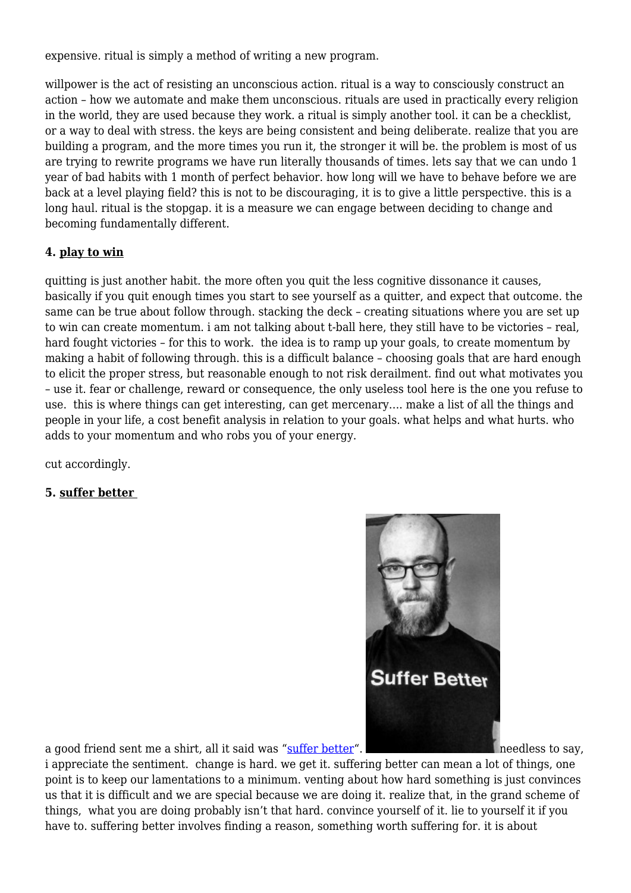expensive. ritual is simply a method of writing a new program.

willpower is the act of resisting an unconscious action. ritual is a way to consciously construct an action – how we automate and make them unconscious. rituals are used in practically every religion in the world, they are used because they work. a ritual is simply another tool. it can be a checklist, or a way to deal with stress. the keys are being consistent and being deliberate. realize that you are building a program, and the more times you run it, the stronger it will be. the problem is most of us are trying to rewrite programs we have run literally thousands of times. lets say that we can undo 1 year of bad habits with 1 month of perfect behavior. how long will we have to behave before we are back at a level playing field? this is not to be discouraging, it is to give a little perspective. this is a long haul. ritual is the stopgap. it is a measure we can engage between deciding to change and becoming fundamentally different.

## **4. play to win**

quitting is just another habit. the more often you quit the less cognitive dissonance it causes, basically if you quit enough times you start to see yourself as a quitter, and expect that outcome. the same can be true about follow through. stacking the deck – creating situations where you are set up to win can create momentum. i am not talking about t-ball here, they still have to be victories – real, hard fought victories – for this to work. the idea is to ramp up your goals, to create momentum by making a habit of following through. this is a difficult balance – choosing goals that are hard enough to elicit the proper stress, but reasonable enough to not risk derailment. find out what motivates you – use it. fear or challenge, reward or consequence, the only useless tool here is the one you refuse to use. this is where things can get interesting, can get mercenary…. make a list of all the things and people in your life, a cost benefit analysis in relation to your goals. what helps and what hurts. who adds to your momentum and who robs you of your energy.

cut accordingly.

# **5. suffer better**



a good friend sent me a shirt, all it said was "[suffer better](http://www.sufferbetter.com)".

i appreciate the sentiment. change is hard. we get it. suffering better can mean a lot of things, one point is to keep our lamentations to a minimum. venting about how hard something is just convinces us that it is difficult and we are special because we are doing it. realize that, in the grand scheme of things, what you are doing probably isn't that hard. convince yourself of it. lie to yourself it if you have to. suffering better involves finding a reason, something worth suffering for. it is about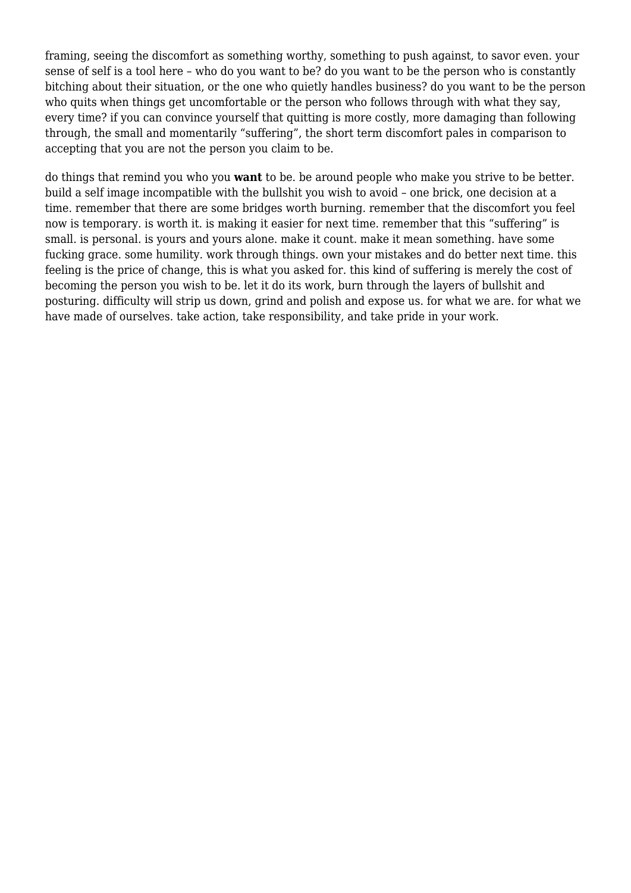framing, seeing the discomfort as something worthy, something to push against, to savor even. your sense of self is a tool here – who do you want to be? do you want to be the person who is constantly bitching about their situation, or the one who quietly handles business? do you want to be the person who quits when things get uncomfortable or the person who follows through with what they say, every time? if you can convince yourself that quitting is more costly, more damaging than following through, the small and momentarily "suffering", the short term discomfort pales in comparison to accepting that you are not the person you claim to be.

do things that remind you who you **want** to be. be around people who make you strive to be better. build a self image incompatible with the bullshit you wish to avoid – one brick, one decision at a time. remember that there are some bridges worth burning. remember that the discomfort you feel now is temporary. is worth it. is making it easier for next time. remember that this "suffering" is small. is personal. is yours and yours alone. make it count. make it mean something. have some fucking grace. some humility. work through things. own your mistakes and do better next time. this feeling is the price of change, this is what you asked for. this kind of suffering is merely the cost of becoming the person you wish to be. let it do its work, burn through the layers of bullshit and posturing. difficulty will strip us down, grind and polish and expose us. for what we are. for what we have made of ourselves. take action, take responsibility, and take pride in your work.